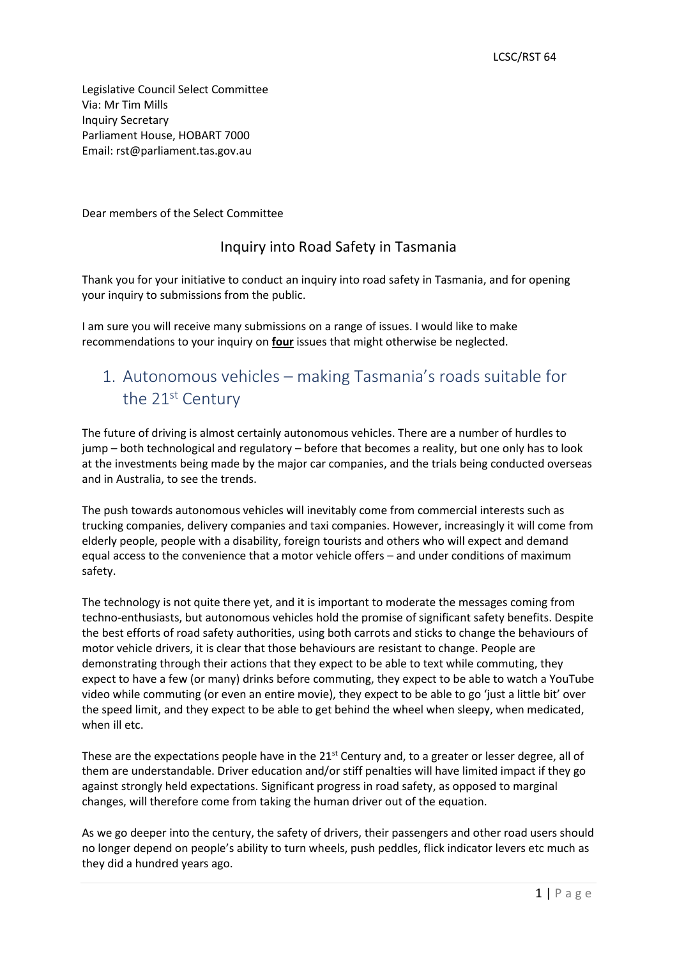Legislative Council Select Committee Via: Mr Tim Mills Inquiry Secretary Parliament House, HOBART 7000 Email: [rst@parliament.tas.gov.au](mailto:rst@parliament.tas.gov.au)

Dear members of the Select Committee

### Inquiry into Road Safety in Tasmania

Thank you for your initiative to conduct an inquiry into road safety in Tasmania, and for opening your inquiry to submissions from the public.

I am sure you will receive many submissions on a range of issues. I would like to make recommendations to your inquiry on **four** issues that might otherwise be neglected.

### 1. Autonomous vehicles – making Tasmania's roads suitable for the 21<sup>st</sup> Century

The future of driving is almost certainly autonomous vehicles. There are a number of hurdles to jump – both technological and regulatory – before that becomes a reality, but one only has to look at the investments being made by the major car companies, and the trials being conducted overseas and in Australia, to see the trends.

The push towards autonomous vehicles will inevitably come from commercial interests such as trucking companies, delivery companies and taxi companies. However, increasingly it will come from elderly people, people with a disability, foreign tourists and others who will expect and demand equal access to the convenience that a motor vehicle offers – and under conditions of maximum safety.

The technology is not quite there yet, and it is important to moderate the messages coming from techno-enthusiasts, but autonomous vehicles hold the promise of significant safety benefits. Despite the best efforts of road safety authorities, using both carrots and sticks to change the behaviours of motor vehicle drivers, it is clear that those behaviours are resistant to change. People are demonstrating through their actions that they expect to be able to text while commuting, they expect to have a few (or many) drinks before commuting, they expect to be able to watch a YouTube video while commuting (or even an entire movie), they expect to be able to go 'just a little bit' over the speed limit, and they expect to be able to get behind the wheel when sleepy, when medicated, when ill etc.

These are the expectations people have in the  $21<sup>st</sup>$  Century and, to a greater or lesser degree, all of them are understandable. Driver education and/or stiff penalties will have limited impact if they go against strongly held expectations. Significant progress in road safety, as opposed to marginal changes, will therefore come from taking the human driver out of the equation.

As we go deeper into the century, the safety of drivers, their passengers and other road users should no longer depend on people's ability to turn wheels, push peddles, flick indicator levers etc much as they did a hundred years ago.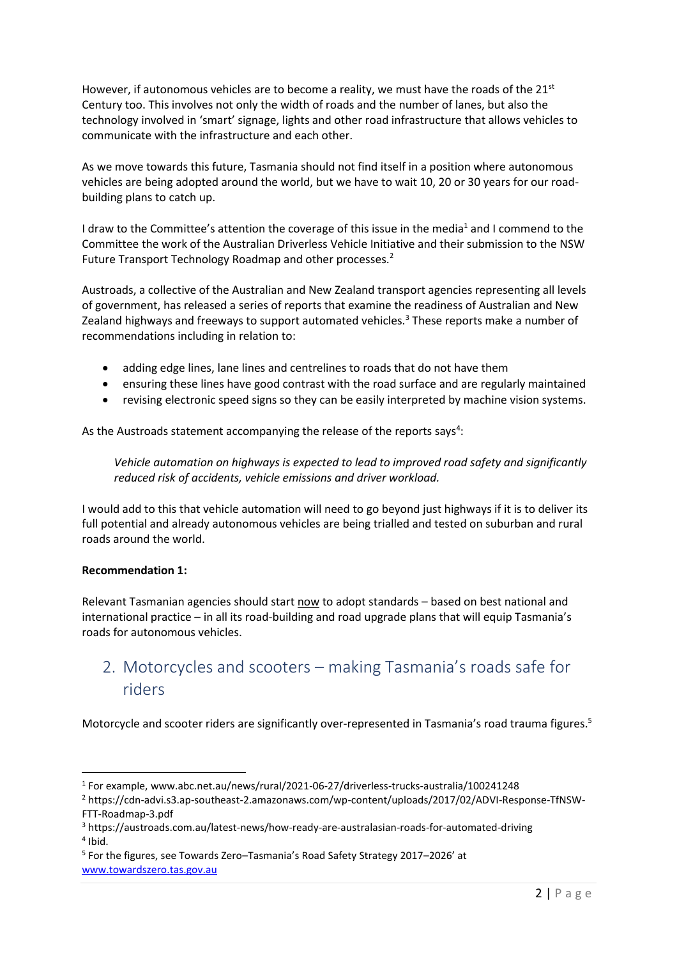However, if autonomous vehicles are to become a reality, we must have the roads of the  $21^{st}$ Century too. This involves not only the width of roads and the number of lanes, but also the technology involved in 'smart' signage, lights and other road infrastructure that allows vehicles to communicate with the infrastructure and each other.

As we move towards this future, Tasmania should not find itself in a position where autonomous vehicles are being adopted around the world, but we have to wait 10, 20 or 30 years for our roadbuilding plans to catch up.

I draw to the Committee's attention the coverage of this issue in the media<sup>1</sup> and I commend to the Committee the work of the Australian Driverless Vehicle Initiative and their submission to the NSW Future Transport Technology Roadmap and other processes.<sup>2</sup>

Austroads, a collective of the Australian and New Zealand transport agencies representing all levels of government, has released a series of reports that examine the readiness of Australian and New Zealand highways and freeways to support automated vehicles. $3$  These reports make a number of recommendations including in relation to:

- adding edge lines, lane lines and centrelines to roads that do not have them
- ensuring these lines have good contrast with the road surface and are regularly maintained
- revising electronic speed signs so they can be easily interpreted by machine vision systems.

As the Austroads statement accompanying the release of the reports says<sup>4</sup>:

*Vehicle automation on highways is expected to lead to improved road safety and significantly reduced risk of accidents, vehicle emissions and driver workload.*

I would add to this that vehicle automation will need to go beyond just highways if it is to deliver its full potential and already autonomous vehicles are being trialled and tested on suburban and rural roads around the world.

#### **Recommendation 1:**

Relevant Tasmanian agencies should start now to adopt standards – based on best national and international practice – in all its road-building and road upgrade plans that will equip Tasmania's roads for autonomous vehicles.

## 2. Motorcycles and scooters – making Tasmania's roads safe for riders

Motorcycle and scooter riders are significantly over-represented in Tasmania's road trauma figures.<sup>5</sup>

<sup>1</sup> For example, www.abc.net.au/news/rural/2021-06-27/driverless-trucks-australia/100241248

<sup>2</sup> https://cdn-advi.s3.ap-southeast-2.amazonaws.com/wp-content/uploads/2017/02/ADVI-Response-TfNSW-FTT-Roadmap-3.pdf

<sup>3</sup> <https://austroads.com.au/latest-news/how-ready-are-australasian-roads-for-automated-driving> 4 Ibid.

<sup>&</sup>lt;sup>5</sup> For the figures, see Towards Zero–Tasmania's Road Safety Strategy 2017–2026' at [www.towardszero.tas.gov.au](http://www.towardszero.tas.gov.au/)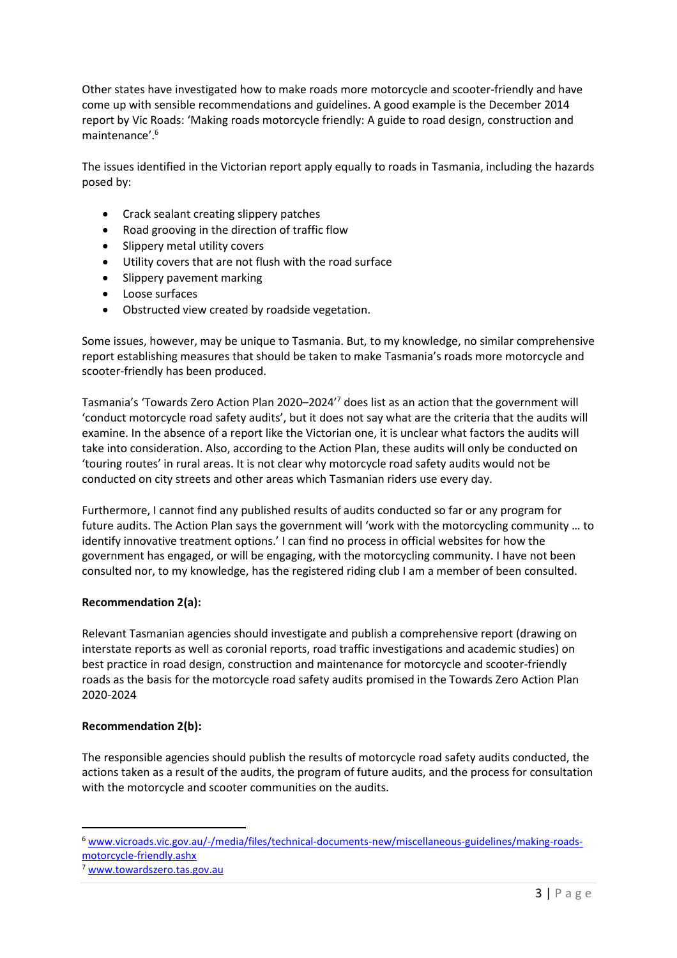Other states have investigated how to make roads more motorcycle and scooter-friendly and have come up with sensible recommendations and guidelines. A good example is the December 2014 report by Vic Roads: 'Making roads motorcycle friendly: A guide to road design, construction and maintenance'.<sup>6</sup>

The issues identified in the Victorian report apply equally to roads in Tasmania, including the hazards posed by:

- Crack sealant creating slippery patches
- Road grooving in the direction of traffic flow
- Slippery metal utility covers
- Utility covers that are not flush with the road surface
- Slippery pavement marking
- Loose surfaces
- Obstructed view created by roadside vegetation.

Some issues, however, may be unique to Tasmania. But, to my knowledge, no similar comprehensive report establishing measures that should be taken to make Tasmania's roads more motorcycle and scooter-friendly has been produced.

Tasmania's 'Towards Zero Action Plan 2020–2024'<sup>7</sup> does list as an action that the government will 'conduct motorcycle road safety audits', but it does not say what are the criteria that the audits will examine. In the absence of a report like the Victorian one, it is unclear what factors the audits will take into consideration. Also, according to the Action Plan, these audits will only be conducted on 'touring routes' in rural areas. It is not clear why motorcycle road safety audits would not be conducted on city streets and other areas which Tasmanian riders use every day.

Furthermore, I cannot find any published results of audits conducted so far or any program for future audits. The Action Plan says the government will 'work with the motorcycling community … to identify innovative treatment options.' I can find no process in official websites for how the government has engaged, or will be engaging, with the motorcycling community. I have not been consulted nor, to my knowledge, has the registered riding club I am a member of been consulted.

#### **Recommendation 2(a):**

Relevant Tasmanian agencies should investigate and publish a comprehensive report (drawing on interstate reports as well as coronial reports, road traffic investigations and academic studies) on best practice in road design, construction and maintenance for motorcycle and scooter-friendly roads as the basis for the motorcycle road safety audits promised in the Towards Zero Action Plan 2020-2024

#### **Recommendation 2(b):**

The responsible agencies should publish the results of motorcycle road safety audits conducted, the actions taken as a result of the audits, the program of future audits, and the process for consultation with the motorcycle and scooter communities on the audits.

<sup>6</sup> [www.vicroads.vic.gov.au/-/media/files/technical-documents-new/miscellaneous-guidelines/making-roads](http://www.vicroads.vic.gov.au/-/media/files/technical-documents-new/miscellaneous-guidelines/making-roads-motorcycle-friendly.ashx)[motorcycle-friendly.ashx](http://www.vicroads.vic.gov.au/-/media/files/technical-documents-new/miscellaneous-guidelines/making-roads-motorcycle-friendly.ashx)

<sup>7</sup> [www.towardszero.tas.gov.au](http://www.towardszero.tas.gov.au/)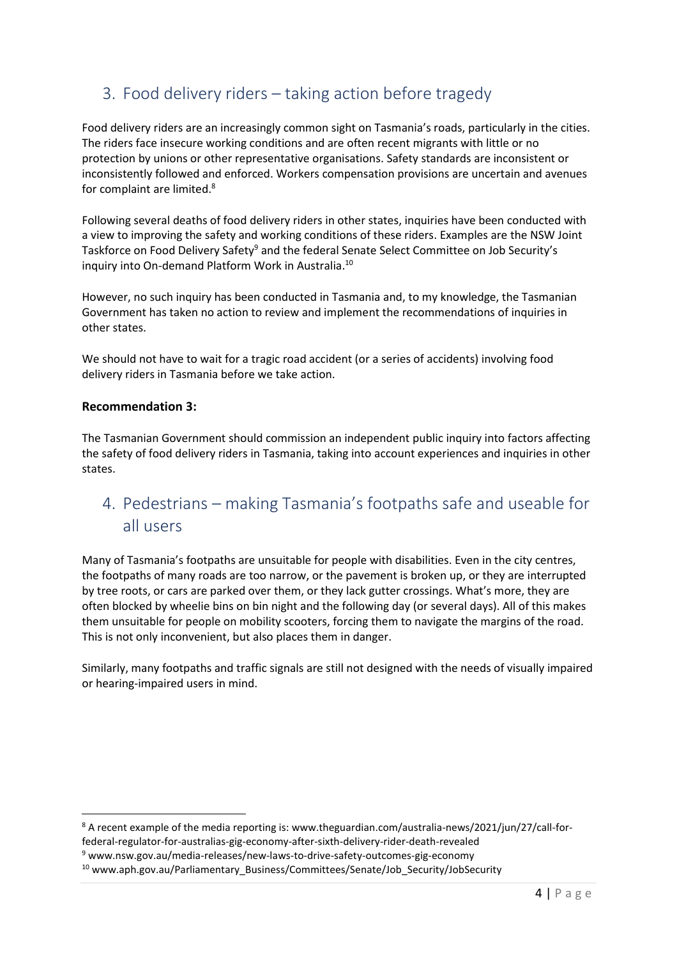# 3. Food delivery riders – taking action before tragedy

Food delivery riders are an increasingly common sight on Tasmania's roads, particularly in the cities. The riders face insecure working conditions and are often recent migrants with little or no protection by unions or other representative organisations. Safety standards are inconsistent or inconsistently followed and enforced. Workers compensation provisions are uncertain and avenues for complaint are limited.<sup>8</sup>

Following several deaths of food delivery riders in other states, inquiries have been conducted with a view to improving the safety and working conditions of these riders. Examples are the NSW Joint Taskforce on Food Delivery Safety<sup>9</sup> and the federal Senate Select Committee on Job Security's inquiry into On-demand Platform Work in Australia. 10

However, no such inquiry has been conducted in Tasmania and, to my knowledge, the Tasmanian Government has taken no action to review and implement the recommendations of inquiries in other states.

We should not have to wait for a tragic road accident (or a series of accidents) involving food delivery riders in Tasmania before we take action.

#### **Recommendation 3:**

The Tasmanian Government should commission an independent public inquiry into factors affecting the safety of food delivery riders in Tasmania, taking into account experiences and inquiries in other states.

# 4. Pedestrians – making Tasmania's footpaths safe and useable for all users

Many of Tasmania's footpaths are unsuitable for people with disabilities. Even in the city centres, the footpaths of many roads are too narrow, or the pavement is broken up, or they are interrupted by tree roots, or cars are parked over them, or they lack gutter crossings. What's more, they are often blocked by wheelie bins on bin night and the following day (or several days). All of this makes them unsuitable for people on mobility scooters, forcing them to navigate the margins of the road. This is not only inconvenient, but also places them in danger.

Similarly, many footpaths and traffic signals are still not designed with the needs of visually impaired or hearing-impaired users in mind.

<sup>&</sup>lt;sup>8</sup> A recent example of the media reporting is: www.theguardian.com/australia-news/2021/jun/27/call-forfederal-regulator-for-australias-gig-economy-after-sixth-delivery-rider-death-revealed

<sup>9</sup> www.nsw.gov.au/media-releases/new-laws-to-drive-safety-outcomes-gig-economy

<sup>10</sup> www.aph.gov.au/Parliamentary\_Business/Committees/Senate/Job\_Security/JobSecurity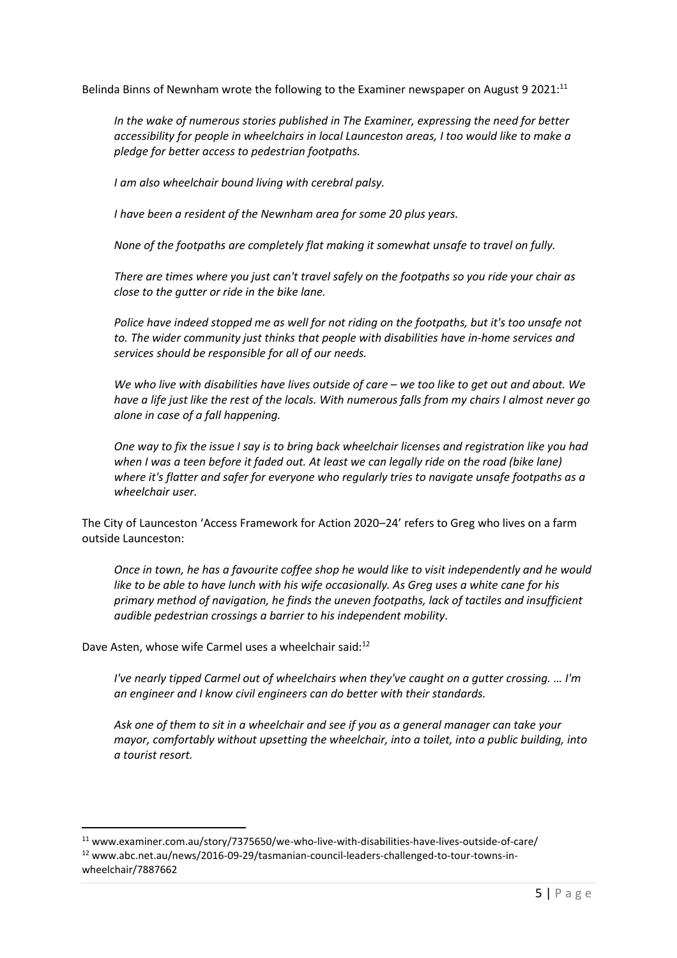Belinda Binns of Newnham wrote the following to the Examiner newspaper on August 9 2021:<sup>11</sup>

*In the wake of numerous stories published in The Examiner, expressing the need for better accessibility for people in wheelchairs in local Launceston areas, I too would like to make a pledge for better access to pedestrian footpaths.*

*I am also wheelchair bound living with cerebral palsy.*

*I have been a resident of the Newnham area for some 20 plus years.*

*None of the footpaths are completely flat making it somewhat unsafe to travel on fully.*

*There are times where you just can't travel safely on the footpaths so you ride your chair as close to the gutter or ride in the bike lane.*

*Police have indeed stopped me as well for not riding on the footpaths, but it's too unsafe not to. The wider community just thinks that people with disabilities have in-home services and services should be responsible for all of our needs.*

*We who live with disabilities have lives outside of care – we too like to get out and about. We have a life just like the rest of the locals. With numerous falls from my chairs I almost never go alone in case of a fall happening.*

*One way to fix the issue I say is to bring back wheelchair licenses and registration like you had when I was a teen before it faded out. At least we can legally ride on the road (bike lane) where it's flatter and safer for everyone who regularly tries to navigate unsafe footpaths as a wheelchair user.*

The City of Launceston 'Access Framework for Action 2020–24' refers to Greg who lives on a farm outside Launceston:

*Once in town, he has a favourite coffee shop he would like to visit independently and he would like to be able to have lunch with his wife occasionally. As Greg uses a white cane for his primary method of navigation, he finds the uneven footpaths, lack of tactiles and insufficient audible pedestrian crossings a barrier to his independent mobility.*

Dave Asten, whose wife Carmel uses a wheelchair said:<sup>12</sup>

*I've nearly tipped Carmel out of wheelchairs when they've caught on a gutter crossing. … I'm an engineer and I know civil engineers can do better with their standards.*

*Ask one of them to sit in a wheelchair and see if you as a general manager can take your mayor, comfortably without upsetting the wheelchair, into a toilet, into a public building, into a tourist resort.*

<sup>11</sup> www.examiner.com.au/story/7375650/we-who-live-with-disabilities-have-lives-outside-of-care/ <sup>12</sup> www.abc.net.au/news/2016-09-29/tasmanian-council-leaders-challenged-to-tour-towns-inwheelchair/7887662